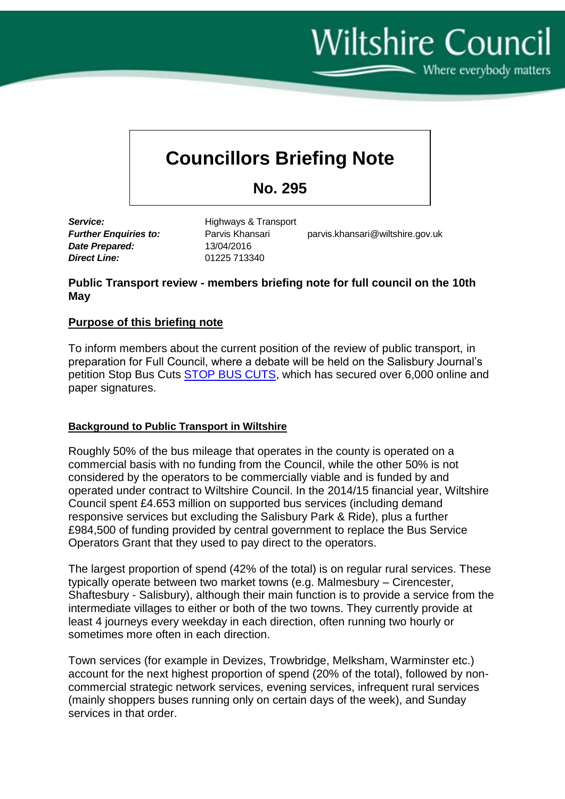**Wiltshire Council** 

Where everybody matters

# **Councillors Briefing Note**

**No. 295**

*Date Prepared:* 13/04/2016 *Direct Line:* 01225 713340

**Service:** Highways & Transport

**Further Enquiries to:** Parvis Khansari parvis.khansari@wiltshire.gov.uk

### **Public Transport review - members briefing note for full council on the 10th May**

## **Purpose of this briefing note**

To inform members about the current position of the review of public transport, in preparation for Full Council, where a debate will be held on the Salisbury Journal's petition Stop Bus Cuts [STOP BUS CUTS,](https://www.change.org/p/wiltshire-council-stop-bus-cuts-in-wiltshire) which has secured over 6,000 online and paper signatures.

#### **Background to Public Transport in Wiltshire**

Roughly 50% of the bus mileage that operates in the county is operated on a commercial basis with no funding from the Council, while the other 50% is not considered by the operators to be commercially viable and is funded by and operated under contract to Wiltshire Council. In the 2014/15 financial year, Wiltshire Council spent £4.653 million on supported bus services (including demand responsive services but excluding the Salisbury Park & Ride), plus a further £984,500 of funding provided by central government to replace the Bus Service Operators Grant that they used to pay direct to the operators.

The largest proportion of spend (42% of the total) is on regular rural services. These typically operate between two market towns (e.g. Malmesbury – Cirencester, Shaftesbury - Salisbury), although their main function is to provide a service from the intermediate villages to either or both of the two towns. They currently provide at least 4 journeys every weekday in each direction, often running two hourly or sometimes more often in each direction.

Town services (for example in Devizes, Trowbridge, Melksham, Warminster etc.) account for the next highest proportion of spend (20% of the total), followed by noncommercial strategic network services, evening services, infrequent rural services (mainly shoppers buses running only on certain days of the week), and Sunday services in that order.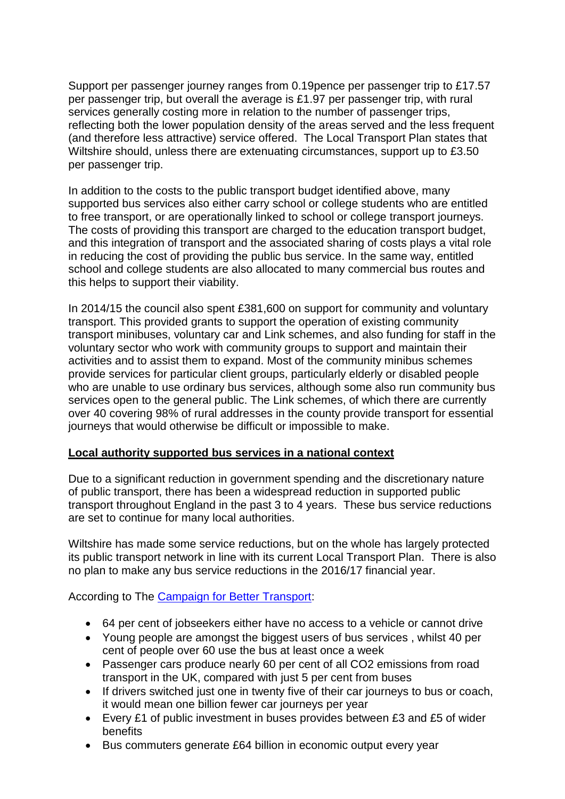Support per passenger journey ranges from 0.19pence per passenger trip to £17.57 per passenger trip, but overall the average is £1.97 per passenger trip, with rural services generally costing more in relation to the number of passenger trips, reflecting both the lower population density of the areas served and the less frequent (and therefore less attractive) service offered. The Local Transport Plan states that Wiltshire should, unless there are extenuating circumstances, support up to £3.50 per passenger trip.

In addition to the costs to the public transport budget identified above, many supported bus services also either carry school or college students who are entitled to free transport, or are operationally linked to school or college transport journeys. The costs of providing this transport are charged to the education transport budget, and this integration of transport and the associated sharing of costs plays a vital role in reducing the cost of providing the public bus service. In the same way, entitled school and college students are also allocated to many commercial bus routes and this helps to support their viability.

In 2014/15 the council also spent £381,600 on support for community and voluntary transport. This provided grants to support the operation of existing community transport minibuses, voluntary car and Link schemes, and also funding for staff in the voluntary sector who work with community groups to support and maintain their activities and to assist them to expand. Most of the community minibus schemes provide services for particular client groups, particularly elderly or disabled people who are unable to use ordinary bus services, although some also run community bus services open to the general public. The Link schemes, of which there are currently over 40 covering 98% of rural addresses in the county provide transport for essential journeys that would otherwise be difficult or impossible to make.

#### **Local authority supported bus services in a national context**

Due to a significant reduction in government spending and the discretionary nature of public transport, there has been a widespread reduction in supported public transport throughout England in the past 3 to 4 years. These bus service reductions are set to continue for many local authorities.

Wiltshire has made some service reductions, but on the whole has largely protected its public transport network in line with its current Local Transport Plan. There is also no plan to make any bus service reductions in the 2016/17 financial year.

According to The [Campaign for Better Transport:](http://www.bettertransport.org.uk/save-our-buses)

- 64 per cent of jobseekers either have no access to a vehicle or cannot drive
- Young people are amongst the biggest users of bus services , whilst 40 per cent of people over 60 use the bus at least once a week
- Passenger cars produce nearly 60 per cent of all CO2 emissions from road transport in the UK, compared with just 5 per cent from buses
- If drivers switched just one in twenty five of their car journeys to bus or coach, it would mean one billion fewer car journeys per year
- Every £1 of public investment in buses provides between £3 and £5 of wider benefits
- Bus commuters generate £64 billion in economic output every year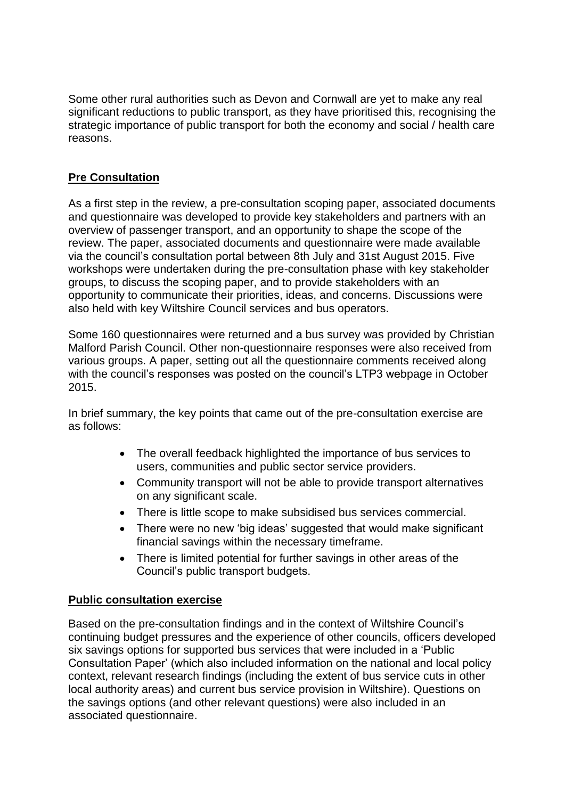Some other rural authorities such as Devon and Cornwall are yet to make any real significant reductions to public transport, as they have prioritised this, recognising the strategic importance of public transport for both the economy and social / health care reasons.

## **Pre Consultation**

As a first step in the review, a pre-consultation scoping paper, associated documents and questionnaire was developed to provide key stakeholders and partners with an overview of passenger transport, and an opportunity to shape the scope of the review. The paper, associated documents and questionnaire were made available via the council's consultation portal between 8th July and 31st August 2015. Five workshops were undertaken during the pre-consultation phase with key stakeholder groups, to discuss the scoping paper, and to provide stakeholders with an opportunity to communicate their priorities, ideas, and concerns. Discussions were also held with key Wiltshire Council services and bus operators.

Some 160 questionnaires were returned and a bus survey was provided by Christian Malford Parish Council. Other non-questionnaire responses were also received from various groups. A paper, setting out all the questionnaire comments received along with the council's responses was posted on the council's LTP3 webpage in October 2015.

In brief summary, the key points that came out of the pre-consultation exercise are as follows:

- The overall feedback highlighted the importance of bus services to users, communities and public sector service providers.
- Community transport will not be able to provide transport alternatives on any significant scale.
- There is little scope to make subsidised bus services commercial.
- There were no new 'big ideas' suggested that would make significant financial savings within the necessary timeframe.
- There is limited potential for further savings in other areas of the Council's public transport budgets.

## **Public consultation exercise**

Based on the pre-consultation findings and in the context of Wiltshire Council's continuing budget pressures and the experience of other councils, officers developed six savings options for supported bus services that were included in a 'Public Consultation Paper' (which also included information on the national and local policy context, relevant research findings (including the extent of bus service cuts in other local authority areas) and current bus service provision in Wiltshire). Questions on the savings options (and other relevant questions) were also included in an associated questionnaire.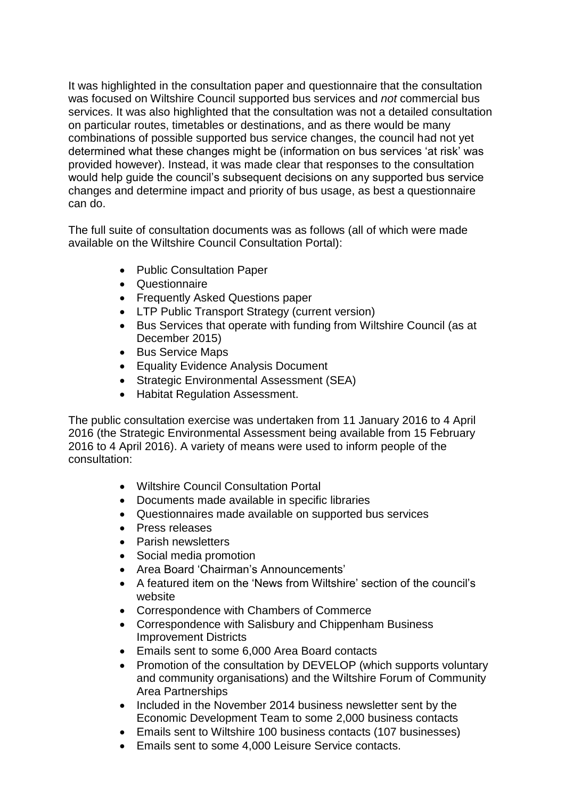It was highlighted in the consultation paper and questionnaire that the consultation was focused on Wiltshire Council supported bus services and *not* commercial bus services. It was also highlighted that the consultation was not a detailed consultation on particular routes, timetables or destinations, and as there would be many combinations of possible supported bus service changes, the council had not yet determined what these changes might be (information on bus services 'at risk' was provided however). Instead, it was made clear that responses to the consultation would help guide the council's subsequent decisions on any supported bus service changes and determine impact and priority of bus usage, as best a questionnaire can do.

The full suite of consultation documents was as follows (all of which were made available on the Wiltshire Council Consultation Portal):

- Public Consultation Paper
- Questionnaire
- Frequently Asked Questions paper
- LTP Public Transport Strategy (current version)
- Bus Services that operate with funding from Wiltshire Council (as at December 2015)
- Bus Service Maps
- **•** Equality Evidence Analysis Document
- Strategic Environmental Assessment (SEA)
- Habitat Regulation Assessment.

The public consultation exercise was undertaken from 11 January 2016 to 4 April 2016 (the Strategic Environmental Assessment being available from 15 February 2016 to 4 April 2016). A variety of means were used to inform people of the consultation:

- Wiltshire Council Consultation Portal
- Documents made available in specific libraries
- Questionnaires made available on supported bus services
- Press releases
- Parish newsletters
- Social media promotion
- Area Board 'Chairman's Announcements'
- A featured item on the 'News from Wiltshire' section of the council's website
- Correspondence with Chambers of Commerce
- Correspondence with Salisbury and Chippenham Business Improvement Districts
- Emails sent to some 6,000 Area Board contacts
- Promotion of the consultation by DEVELOP (which supports voluntary and community organisations) and the Wiltshire Forum of Community Area Partnerships
- Included in the November 2014 business newsletter sent by the Economic Development Team to some 2,000 business contacts
- Emails sent to Wiltshire 100 business contacts (107 businesses)
- Emails sent to some 4,000 Leisure Service contacts.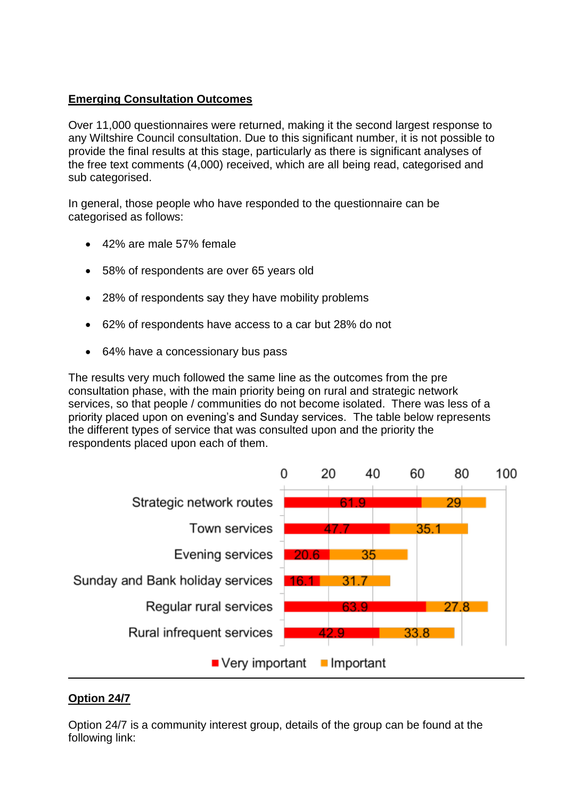## **Emerging Consultation Outcomes**

Over 11,000 questionnaires were returned, making it the second largest response to any Wiltshire Council consultation. Due to this significant number, it is not possible to provide the final results at this stage, particularly as there is significant analyses of the free text comments (4,000) received, which are all being read, categorised and sub categorised.

In general, those people who have responded to the questionnaire can be categorised as follows:

- 42% are male 57% female
- 58% of respondents are over 65 years old
- 28% of respondents say they have mobility problems
- 62% of respondents have access to a car but 28% do not
- 64% have a concessionary bus pass

The results very much followed the same line as the outcomes from the pre consultation phase, with the main priority being on rural and strategic network services, so that people / communities do not become isolated. There was less of a priority placed upon on evening's and Sunday services. The table below represents the different types of service that was consulted upon and the priority the respondents placed upon each of them.



## **Option 24/7**

Option 24/7 is a community interest group, details of the group can be found at the following link: